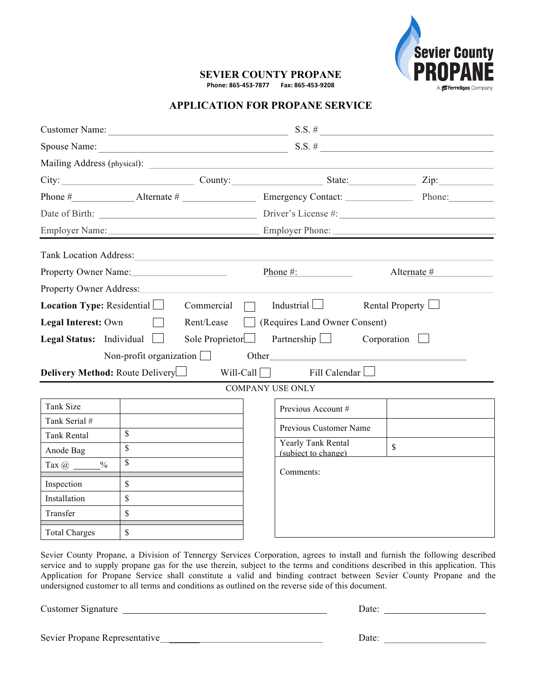

# **SEVIER COUNTY PROPANE Phone: 865-453-7877 Fax: 865-453-9208**

# **APPLICATION FOR PROPANE SERVICE**

|                                                                                                      |                         | Customer Name: $\qquad \qquad$ S.S. #                |                        |  |
|------------------------------------------------------------------------------------------------------|-------------------------|------------------------------------------------------|------------------------|--|
|                                                                                                      |                         |                                                      | Spouse Name: $S.S. \#$ |  |
|                                                                                                      |                         |                                                      |                        |  |
|                                                                                                      |                         | City: City: County: County: County: State: Zip: Zip: |                        |  |
|                                                                                                      |                         |                                                      |                        |  |
|                                                                                                      |                         |                                                      |                        |  |
|                                                                                                      |                         |                                                      |                        |  |
|                                                                                                      |                         |                                                      |                        |  |
|                                                                                                      | Property Owner Name:    | Phone $\#$ :                                         | $\text{Alternate}\#$   |  |
|                                                                                                      |                         |                                                      |                        |  |
| <b>Location Type:</b> Residential $\Box$ Commercial [<br>$\Box$ Industrial $\Box$<br>Rental Property |                         |                                                      |                        |  |
| Rent/Lease<br>Requires Land Owner Consent)<br>Legal Interest: Own                                    |                         |                                                      |                        |  |
| <b>Legal Status:</b> Individual $\Box$<br>Sole Proprietor<br>Partnership $\Box$<br>Corporation       |                         |                                                      |                        |  |
| Non-profit organization<br>Other                                                                     |                         |                                                      |                        |  |
| <b>Delivery Method:</b> Route Delivery $\Box$ Will-Call $\Box$ Fill Calendar $\Box$                  |                         |                                                      |                        |  |
| <b>COMPANY USE ONLY</b>                                                                              |                         |                                                      |                        |  |
| <b>Tank Size</b>                                                                                     |                         | Previous Account #                                   |                        |  |
| Tank Serial #                                                                                        |                         | Previous Customer Name                               |                        |  |
| <b>Tank Rental</b>                                                                                   | $\mathbf S$             | <b>Yearly Tank Rental</b>                            |                        |  |
| Anode Bag                                                                                            | $\overline{\mathbf{s}}$ | (subject to change)                                  | $\mathbb{S}$           |  |
| $\frac{0}{0}$<br>Tax $@ \_\_$                                                                        | $\mathbf S$             | Comments:                                            |                        |  |
| Inspection                                                                                           | $\mathbf S$             |                                                      |                        |  |
| Installation                                                                                         | \$                      |                                                      |                        |  |
| Transfer                                                                                             | \$                      |                                                      |                        |  |
| <b>Total Charges</b>                                                                                 | $\mathbf S$             |                                                      |                        |  |

Sevier County Propane, a Division of Tennergy Services Corporation, agrees to install and furnish the following described service and to supply propane gas for the use therein, subject to the terms and conditions described in this application. This Application for Propane Service shall constitute a valid and binding contract between Sevier County Propane and the undersigned customer to all terms and conditions as outlined on the reverse side of this document.

Customer Signature Date:

Sevier Propane Representative Date: